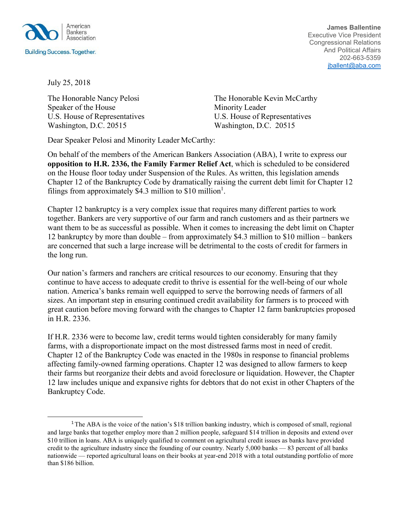

**James Ballentine** Executive Vice President Congressional Relations And Political Affairs 202-663-5359 [jballent@aba.com](mailto:jballent@aba.com)

July 25, 2018

Speaker of the House Minority Leader U.S. House of Representatives U.S. House of Representatives Washington, D.C. 20515 Washington, D.C. 20515

The Honorable Nancy Pelosi The Honorable Kevin McCarthy

Dear Speaker Pelosi and Minority Leader McCarthy:

On behalf of the members of the American Bankers Association (ABA), I write to express our **opposition to H.R. 2336, the Family Farmer Relief Act**, which is scheduled to be considered on the House floor today under Suspension of the Rules. As written, this legislation amends Chapter 12 of the Bankruptcy Code by dramatically raising the current debt limit for Chapter 12 filings from approximately \$4.3 million to \$[1](#page-0-0)0 million<sup>1</sup>.

Chapter 12 bankruptcy is a very complex issue that requires many different parties to work together. Bankers are very supportive of our farm and ranch customers and as their partners we want them to be as successful as possible. When it comes to increasing the debt limit on Chapter 12 bankruptcy by more than double – from approximately \$4.3 million to \$10 million – bankers are concerned that such a large increase will be detrimental to the costs of credit for farmers in the long run.

Our nation's farmers and ranchers are critical resources to our economy. Ensuring that they continue to have access to adequate credit to thrive is essential for the well-being of our whole nation. America's banks remain well equipped to serve the borrowing needs of farmers of all sizes. An important step in ensuring continued credit availability for farmers is to proceed with great caution before moving forward with the changes to Chapter 12 farm bankruptcies proposed in H.R. 2336.

If H.R. 2336 were to become law, credit terms would tighten considerably for many family farms, with a disproportionate impact on the most distressed farms most in need of credit. Chapter 12 of the Bankruptcy Code was enacted in the 1980s in response to financial problems affecting family-owned farming operations. Chapter 12 was designed to allow farmers to keep their farms but reorganize their debts and avoid foreclosure or liquidation. However, the Chapter 12 law includes unique and expansive rights for debtors that do not exist in other Chapters of the Bankruptcy Code.

<span id="page-0-0"></span><sup>&</sup>lt;sup>1</sup>The ABA is the voice of the nation's \$18 trillion banking industry, which is composed of small, regional and large banks that together employ more than 2 million people, safeguard \$14 trillion in deposits and extend over \$10 trillion in loans. ABA is uniquely qualified to comment on agricultural credit issues as banks have provided credit to the agriculture industry since the founding of our country. Nearly 5,000 banks — 83 percent of all banks nationwide — reported agricultural loans on their books at year-end 2018 with a total outstanding portfolio of more than \$186 billion.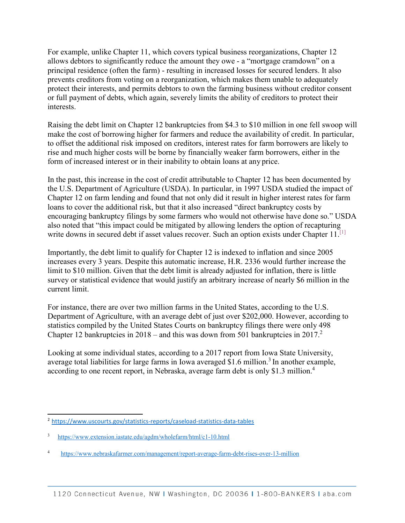For example, unlike Chapter 11, which covers typical business reorganizations, Chapter 12 allows debtors to significantly reduce the amount they owe - a "mortgage cramdown" on a principal residence (often the farm) - resulting in increased losses for secured lenders. It also prevents creditors from voting on a reorganization, which makes them unable to adequately protect their interests, and permits debtors to own the farming business without creditor consent or full payment of debts, which again, severely limits the ability of creditors to protect their interests.

Raising the debt limit on Chapter 12 bankruptcies from \$4.3 to \$10 million in one fell swoop will make the cost of borrowing higher for farmers and reduce the availability of credit. In particular, to offset the additional risk imposed on creditors, interest rates for farm borrowers are likely to rise and much higher costs will be borne by financially weaker farm borrowers, either in the form of increased interest or in their inability to obtain loans at any price.

In the past, this increase in the cost of credit attributable to Chapter 12 has been documented by the U.S. Department of Agriculture (USDA). In particular, in 1997 USDA studied the impact of Chapter 12 on farm lending and found that not only did it result in higher interest rates for farm loans to cover the additional risk, but that it also increased "direct bankruptcy costs by encouraging bankruptcy filings by some farmers who would not otherwise have done so." USDA also noted that "this impact could be mitigated by allowing lenders the option of recapturing write downs in secured debt if asset values recover. Such an option exists under Chapter 11.<sup>[\[1\]](x-msg://6/#_ftn1)</sup>

Importantly, the debt limit to qualify for Chapter 12 is indexed to inflation and since 2005 increases every 3 years. Despite this automatic increase, H.R. 2336 would further increase the limit to \$10 million. Given that the debt limit is already adjusted for inflation, there is little survey or statistical evidence that would justify an arbitrary increase of nearly \$6 million in the current limit.

For instance, there are over two million farms in the United States, according to the U.S. Department of Agriculture, with an average debt of just over \$202,000. However, according to statistics compiled by the United States Courts on bankruptcy filings there were only 498 Chapter 12 bankruptcies in  $2018$  – and this was down from 501 bankruptcies in 2017.<sup>2</sup>

Looking at some individual states, according to a 2017 report from Iowa State University, average total liabilities for large farms in Iowa averaged \$1.6 million.<sup>[3](#page-1-1)</sup> In another example, according to one recent report, in Nebraska, average farm debt is only \$1.3 million[.4](#page-1-2)

<span id="page-1-0"></span><sup>2</sup><https://www.uscourts.gov/statistics-reports/caseload-statistics-data-tables>

<span id="page-1-1"></span><sup>3</sup> <https://www.extension.iastate.edu/agdm/wholefarm/html/c1-10.html>

<span id="page-1-2"></span><sup>4</sup> <https://www.nebraskafarmer.com/management/report-average-farm-debt-rises-over-13-million>